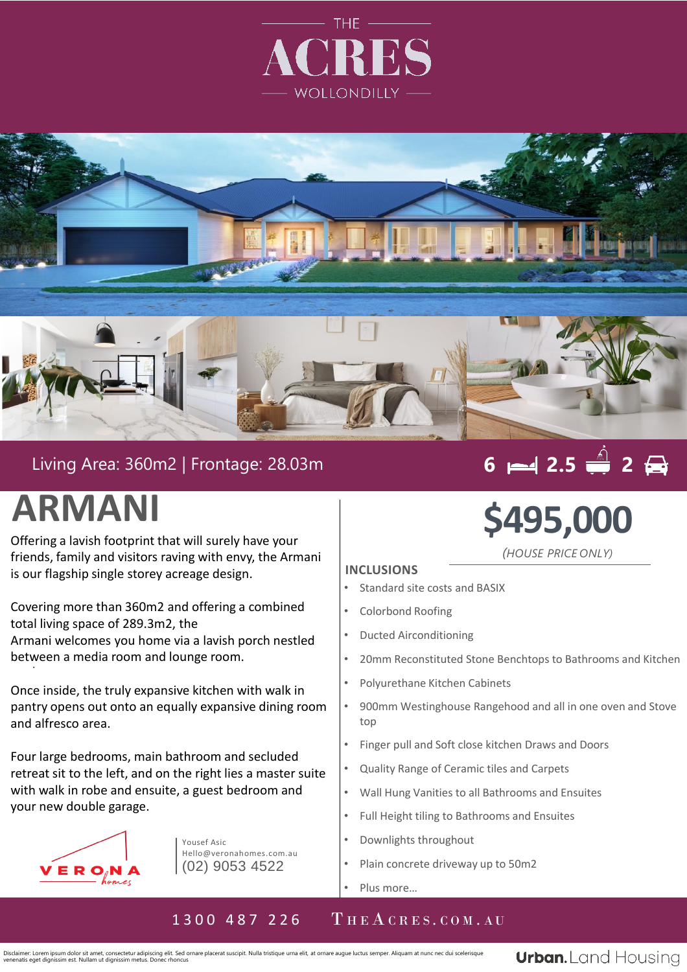



## Living Area: 360m2 | Frontage: 28.03m

# **6 2.5 2**

# **ARMANI**

Offering a lavish footprint that will surely have your friends, family and visitors raving with envy, the Armani is our flagship single storey acreage design.

. between a media room and lounge room. Covering more than 360m2 and offering a combined total living space of 289.3m2, the Armani welcomes you home via a lavish porch nestled

Once inside, the truly expansive kitchen with walk in pantry opens out onto an equally expansive dining room and alfresco area.

Four large bedrooms, main bathroom and secluded retreat sit to the left, and on the right lies a master suite with walk in robe and ensuite, a guest bedroom and your new double garage.



Yousef Asic Hello@veronahomes.com.au (02) 9053 4522

# **\$495,000**

*(HOUSE PRICE ONLY)*

#### **INCLUSIONS**

- Standard site costs and BASIX
- Colorbond Roofing
- Ducted Airconditioning
- 20mm Reconstituted Stone Benchtops to Bathrooms and Kitchen
- Polyurethane Kitchen Cabinets
- 900mm Westinghouse Rangehood and all in one oven and Stove top
- Finger pull and Soft close kitchen Draws and Doors
- Quality Range of Ceramic tiles and Carpets
- Wall Hung Vanities to all Bathrooms and Ensuites
- Full Height tiling to Bathrooms and Ensuites
- Downlights throughout
- Plain concrete driveway up to 50m2
- Plus more...

## 1300 487 226 THEACRES.COM.AU

Disclaimer: Lorem ipsum dolor sit amet, consectetur adipiscing elit. Sed ornare placerat suscipit. Nulla tristique urna elit, at ornare augue luctus semper. Aliquam at nunc nec dui scelerisque venenatis eget dignissim est. Nullam ut dignissim metus. Donec rhoncus